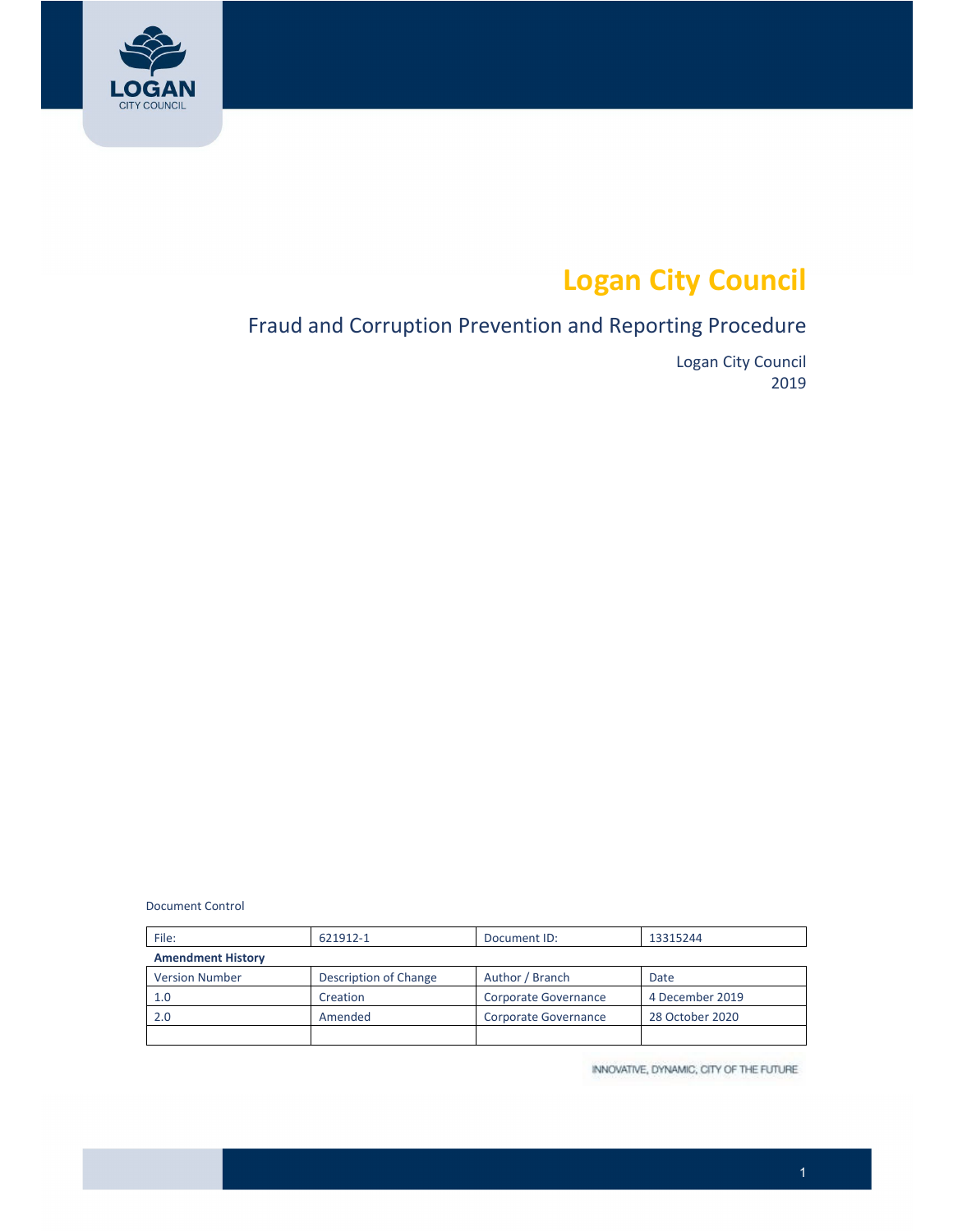

# **Logan City Council**

# Fraud and Corruption Prevention and Reporting Procedure

 Logan City Council 2019

Document Control

| File:                    | 621912-1              | Document ID:         | 13315244        |
|--------------------------|-----------------------|----------------------|-----------------|
| <b>Amendment History</b> |                       |                      |                 |
| <b>Version Number</b>    | Description of Change | Author / Branch      | Date            |
| 1.0                      | Creation              | Corporate Governance | 4 December 2019 |
| 2.0                      | Amended               | Corporate Governance | 28 October 2020 |
|                          |                       |                      |                 |

INNOVATIVE, DYNAMIC, CITY OF THE FUTURE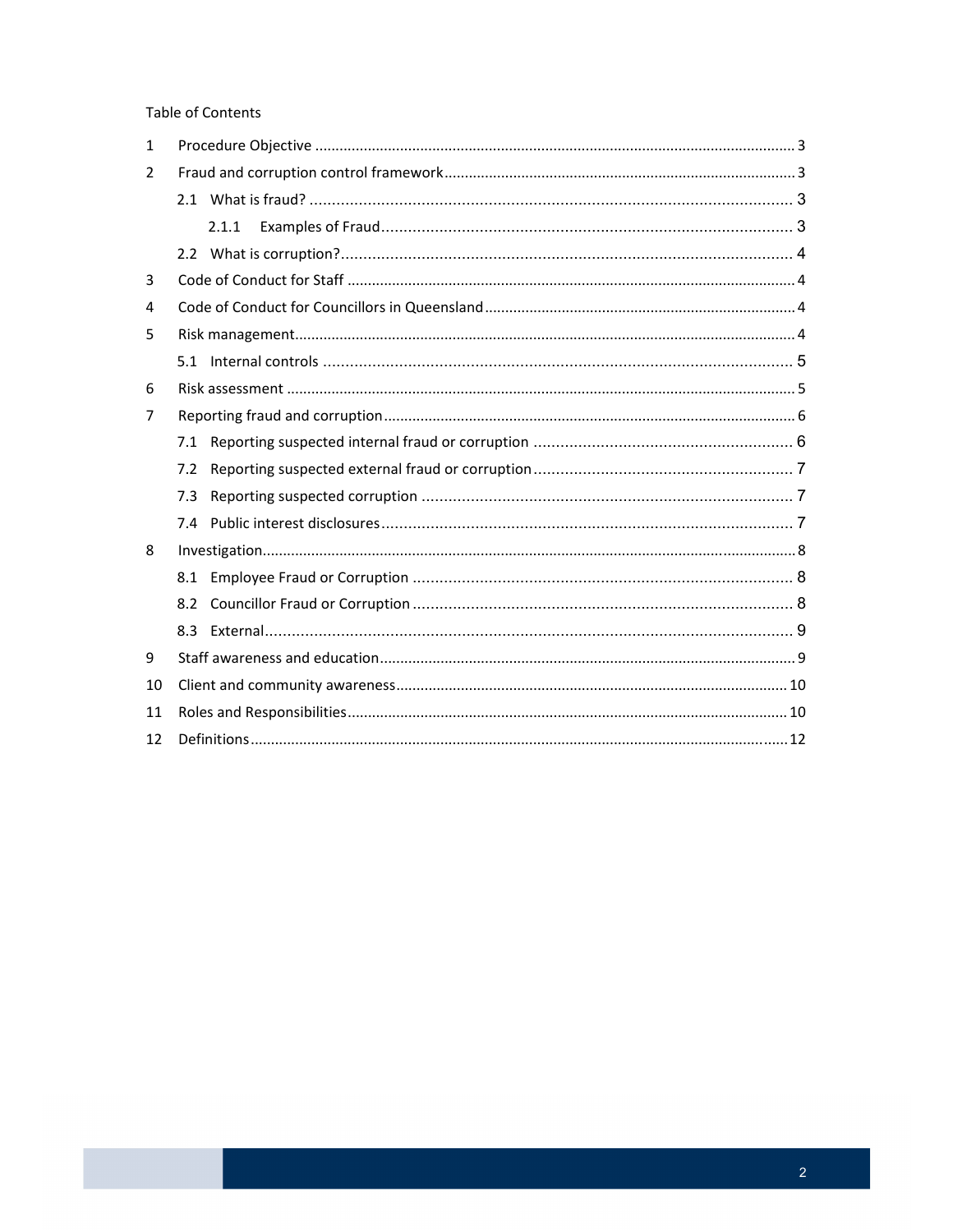Table of Contents

| $\mathbf{1}$ |     |       |  |
|--------------|-----|-------|--|
| 2            |     |       |  |
|              |     |       |  |
|              |     | 2.1.1 |  |
|              |     |       |  |
| 3            |     |       |  |
| 4            |     |       |  |
| 5            |     |       |  |
|              |     |       |  |
| 6            |     |       |  |
| 7            |     |       |  |
|              | 7.1 |       |  |
|              | 7.2 |       |  |
|              | 7.3 |       |  |
|              | 74  |       |  |
| 8            |     |       |  |
|              |     |       |  |
|              | 8.2 |       |  |
|              |     |       |  |
| 9            |     |       |  |
| 10           |     |       |  |
| 11           |     |       |  |
| 12           |     |       |  |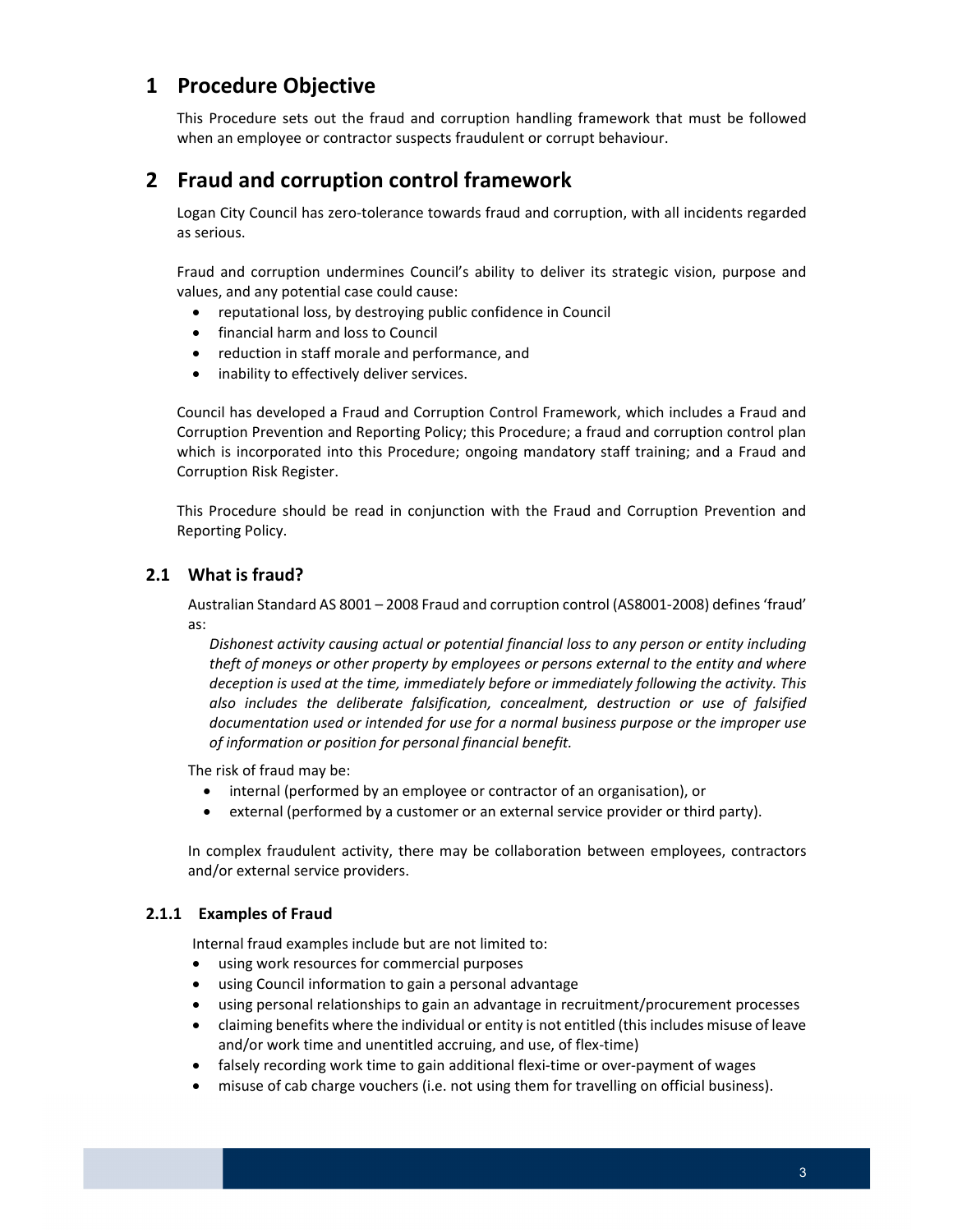# **1 Procedure Objective**

 This Procedure sets out the fraud and corruption handling framework that must be followed when an employee or contractor suspects fraudulent or corrupt behaviour.

# **2 Fraud and corruption control framework**

 Logan City Council has zero‐tolerance towards fraud and corruption, with all incidents regarded as serious.

 Fraud and corruption undermines Council's ability to deliver its strategic vision, purpose and values, and any potential case could cause:

- reputational loss, by destroying public confidence in Council
- financial harm and loss to Council
- reduction in staff morale and performance, and
- **•** inability to effectively deliver services.

 Council has developed a Fraud and Corruption Control Framework, which includes a Fraud and Corruption Prevention and Reporting Policy; this Procedure; a fraud and corruption control plan which is incorporated into this Procedure; ongoing mandatory staff training; and a Fraud and Corruption Risk Register.

 This Procedure should be read in conjunction with the Fraud and Corruption Prevention and Reporting Policy.

#### **2.1 What is fraud?**

 Australian Standard AS 8001 – 2008 Fraud and corruption control (AS8001‐2008) defines'fraud' as:

Dishonest activity causing actual or potential financial loss to any person or entity including theft of moneys or other property by employees or persons external to the entity and where deception is used at the time, immediately before or immediately following the activity. This  *also includes the deliberate falsification, concealment, destruction or use of falsified* documentation used or intended for use for a normal business purpose or the improper use  *of information or position for personal financial benefit.*

The risk of fraud may be:

- internal (performed by an employee or contractor of an organisation), or
- external (performed by a customer or an external service provider or third party).

 In complex fraudulent activity, there may be collaboration between employees, contractors and/or external service providers.

#### **2.1.1 Examples of Fraud**

Internal fraud examples include but are not limited to:

- using work resources for commercial purposes
- using Council information to gain a personal advantage
- using personal relationships to gain an advantage in recruitment/procurement processes
- claiming benefits where the individual or entity is not entitled (this includes misuse of leave and/or work time and unentitled accruing, and use, of flex‐time)
- falsely recording work time to gain additional flexi‐time or over‐payment of wages
- misuse of cab charge vouchers (i.e. not using them for travelling on official business).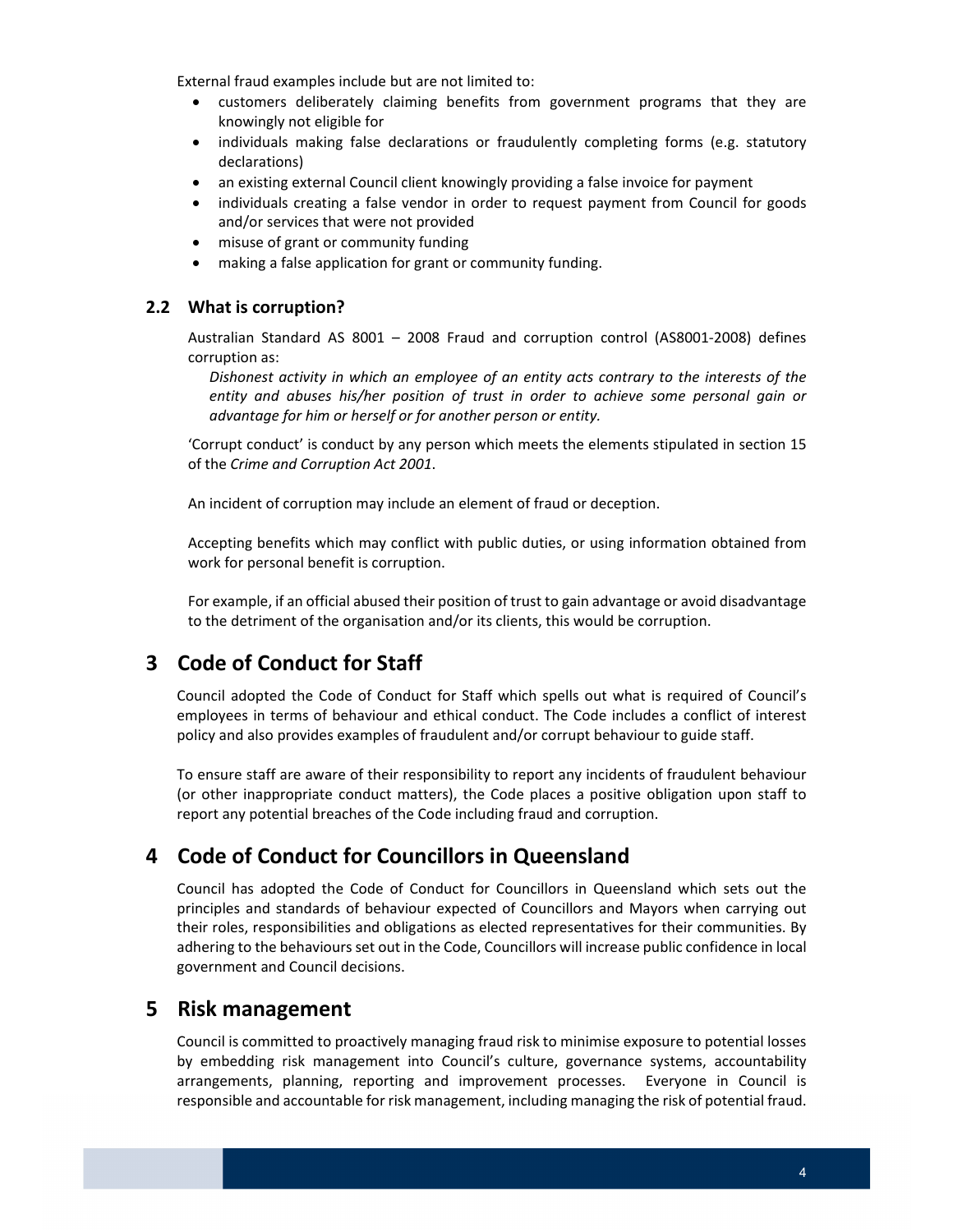External fraud examples include but are not limited to:

- customers deliberately claiming benefits from government programs that they are knowingly not eligible for
- individuals making false declarations or fraudulently completing forms (e.g. statutory declarations)
- an existing external Council client knowingly providing a false invoice for payment
- individuals creating a false vendor in order to request payment from Council for goods and/or services that were not provided
- misuse of grant or community funding
- making a false application for grant or community funding.

#### **2.2 What is corruption?**

 Australian Standard AS 8001 – 2008 Fraud and corruption control (AS8001‐2008) defines corruption as:

Dishonest activity in which an employee of an entity acts contrary to the interests of the entity and abuses his/her position of trust in order to achieve some personal gain or  *advantage for him or herself or for another person or entity.*

 'Corrupt conduct' is conduct by any person which meets the elements stipulated in section 15  of the *Crime and Corruption Act 2001*.

An incident of corruption may include an element of fraud or deception.

 Accepting benefits which may conflict with public duties, or using information obtained from work for personal benefit is corruption.

 For example, if an official abused their position of trust to gain advantage or avoid disadvantage to the detriment of the organisation and/or its clients, this would be corruption.

### **3 Code of Conduct for Staff**

 Council adopted the Code of Conduct for Staff which spells out what is required of Council's employees in terms of behaviour and ethical conduct. The Code includes a conflict of interest policy and also provides examples of fraudulent and/or corrupt behaviour to guide staff.

 To ensure staff are aware of their responsibility to report any incidents of fraudulent behaviour (or other inappropriate conduct matters), the Code places a positive obligation upon staff to report any potential breaches of the Code including fraud and corruption.

### **4 Code of Conduct for Councillors in Queensland**

 Council has adopted the Code of Conduct for Councillors in Queensland which sets out the principles and standards of behaviour expected of Councillors and Mayors when carrying out their roles, responsibilities and obligations as elected representatives for their communities. By adhering to the behaviours set out in the Code, Councillors will increase public confidence in local government and Council decisions.

#### **5 Risk management**

 Council is committed to proactively managing fraud risk to minimise exposure to potential losses by embedding risk management into Council's culture, governance systems, accountability arrangements, planning, reporting and improvement processes. Everyone in Council is responsible and accountable for risk management, including managing the risk of potential fraud.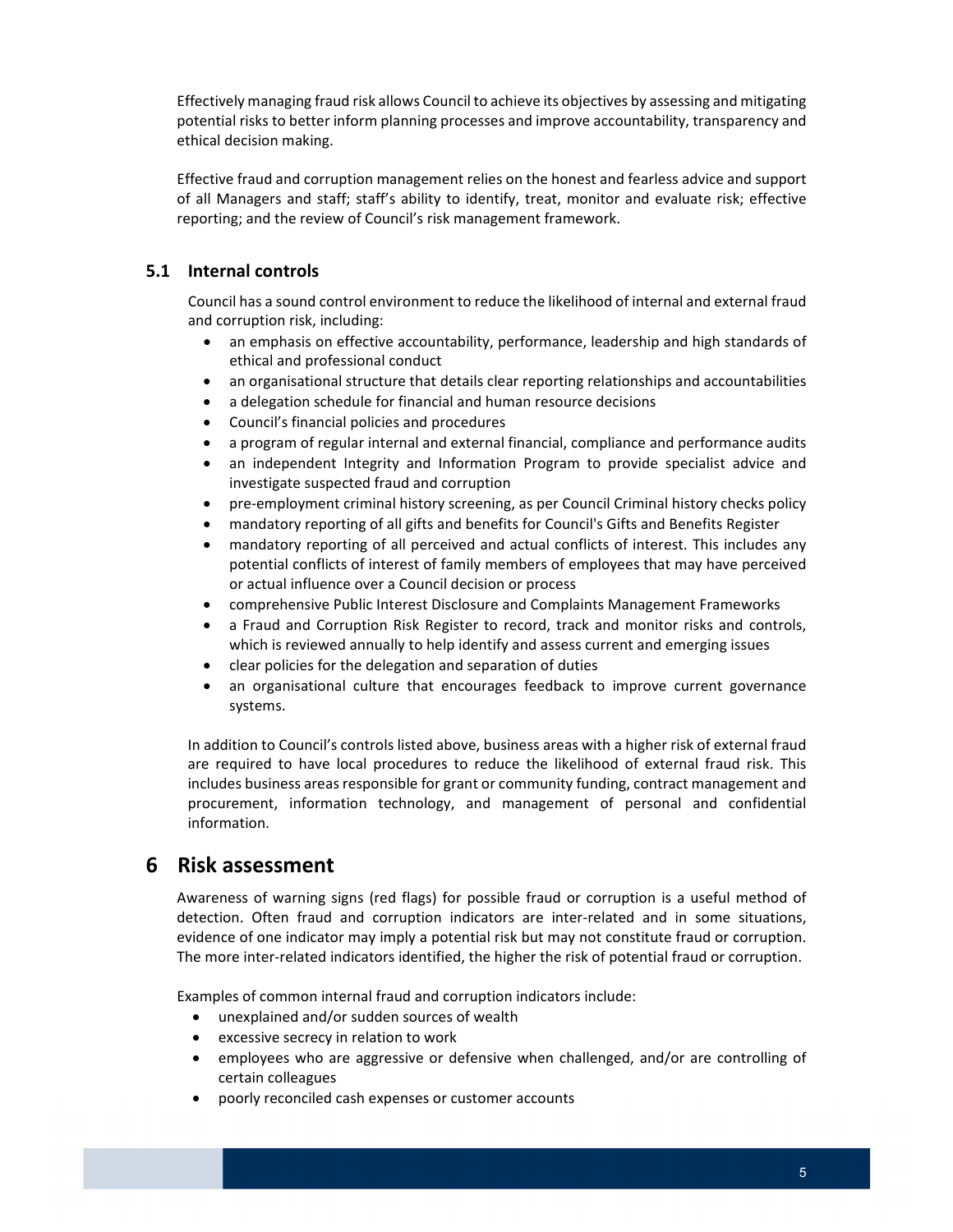Effectively managing fraud risk allows Council to achieve its objectives by assessing and mitigating potential risks to better inform planning processes and improve accountability, transparency and ethical decision making.

 Effective fraud and corruption management relies on the honest and fearless advice and support of all Managers and staff; staff's ability to identify, treat, monitor and evaluate risk; effective reporting; and the review of Council's risk management framework.

#### **5.1 Internal controls**

 Council has a sound control environment to reduce the likelihood of internal and external fraud and corruption risk, including:

- an emphasis on effective accountability, performance, leadership and high standards of ethical and professional conduct
- an organisational structure that details clear reporting relationships and accountabilities
- a delegation schedule for financial and human resource decisions
- Council's financial policies and procedures
- a program of regular internal and external financial, compliance and performance audits
- an independent Integrity and Information Program to provide specialist advice and investigate suspected fraud and corruption
- pre-employment criminal history screening, as per Council Criminal history checks policy
- mandatory reporting of all gifts and benefits for Council's Gifts and Benefits Register
- mandatory reporting of all perceived and actual conflicts of interest. This includes any potential conflicts of interest of family members of employees that may have perceived or actual influence over a Council decision or process
- comprehensive Public Interest Disclosure and Complaints Management Frameworks
- a Fraud and Corruption Risk Register to record, track and monitor risks and controls, which is reviewed annually to help identify and assess current and emerging issues
- clear policies for the delegation and separation of duties
- an organisational culture that encourages feedback to improve current governance systems.

 In addition to Council's controls listed above, business areas with a higher risk of external fraud are required to have local procedures to reduce the likelihood of external fraud risk. This includes business areas responsible for grant or community funding, contract management and procurement, information technology, and management of personal and confidential information.

# **6 Risk assessment**

 Awareness of warning signs (red flags) for possible fraud or corruption is a useful method of detection. Often fraud and corruption indicators are inter‐related and in some situations, evidence of one indicator may imply a potential risk but may not constitute fraud or corruption. The more inter‐related indicators identified, the higher the risk of potential fraud or corruption.

Examples of common internal fraud and corruption indicators include:

- unexplained and/or sudden sources of wealth
- excessive secrecy in relation to work
- employees who are aggressive or defensive when challenged, and/or are controlling of certain colleagues
- poorly reconciled cash expenses or customer accounts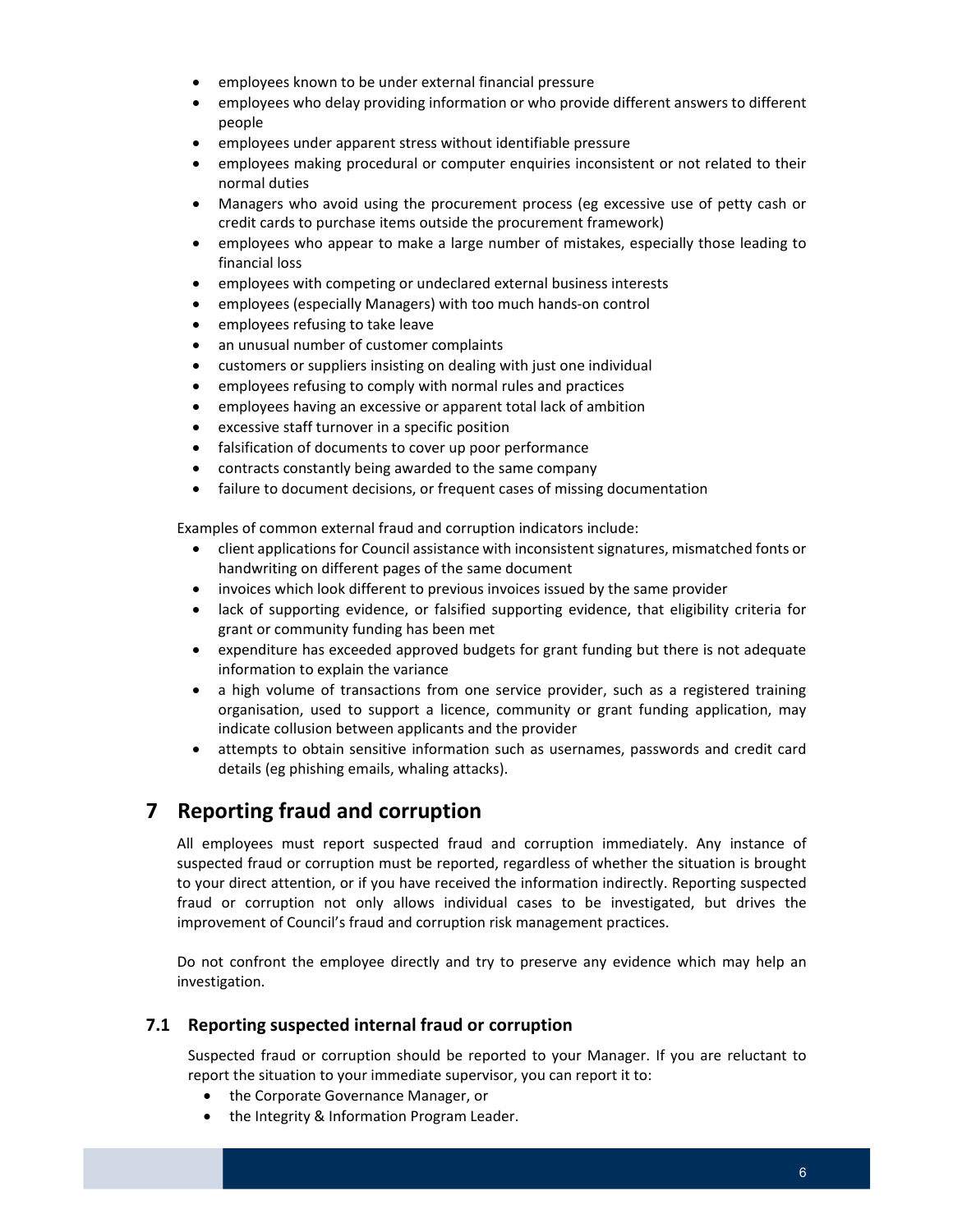- employees known to be under external financial pressure
- employees who delay providing information or who provide different answers to different people
- employees under apparent stress without identifiable pressure
- employees making procedural or computer enquiries inconsistent or not related to their normal duties
- Managers who avoid using the procurement process (eg excessive use of petty cash or credit cards to purchase items outside the procurement framework)
- employees who appear to make a large number of mistakes, especially those leading to financial loss
- employees with competing or undeclared external business interests
- employees (especially Managers) with too much hands-on control
- employees refusing to take leave
- an unusual number of customer complaints
- customers or suppliers insisting on dealing with just one individual
- employees refusing to comply with normal rules and practices
- employees having an excessive or apparent total lack of ambition
- excessive staff turnover in a specific position
- falsification of documents to cover up poor performance
- contracts constantly being awarded to the same company
- failure to document decisions, or frequent cases of missing documentation

Examples of common external fraud and corruption indicators include:

- client applications for Council assistance with inconsistent signatures, mismatched fonts or handwriting on different pages of the same document
- invoices which look different to previous invoices issued by the same provider
- lack of supporting evidence, or falsified supporting evidence, that eligibility criteria for grant or community funding has been met
- expenditure has exceeded approved budgets for grant funding but there is not adequate information to explain the variance
- a high volume of transactions from one service provider, such as a registered training organisation, used to support a licence, community or grant funding application, may indicate collusion between applicants and the provider
- attempts to obtain sensitive information such as usernames, passwords and credit card details (eg phishing emails, whaling attacks).

# **7 Reporting fraud and corruption**

 All employees must report suspected fraud and corruption immediately. Any instance of suspected fraud or corruption must be reported, regardless of whether the situation is brought to your direct attention, or if you have received the information indirectly. Reporting suspected fraud or corruption not only allows individual cases to be investigated, but drives the improvement of Council's fraud and corruption risk management practices.

 Do not confront the employee directly and try to preserve any evidence which may help an investigation.

#### **7.1 Reporting suspected internal fraud or corruption**

 Suspected fraud or corruption should be reported to your Manager. If you are reluctant to report the situation to your immediate supervisor, you can report it to:

- the Corporate Governance Manager, or
- the Integrity & Information Program Leader.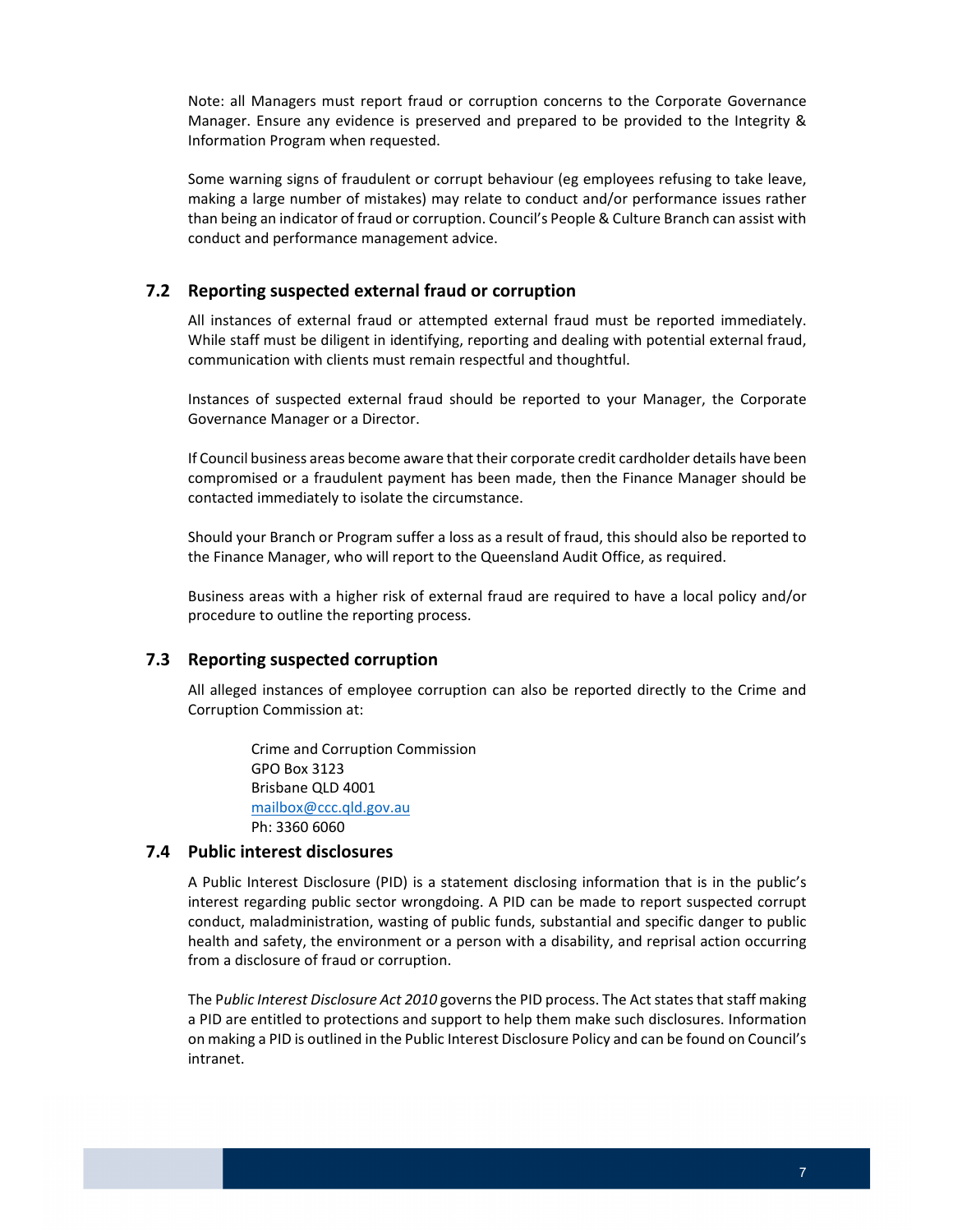Note: all Managers must report fraud or corruption concerns to the Corporate Governance Manager. Ensure any evidence is preserved and prepared to be provided to the Integrity & Information Program when requested.

 Some warning signs of fraudulent or corrupt behaviour (eg employees refusing to take leave, making a large number of mistakes) may relate to conduct and/or performance issues rather than being an indicator of fraud or corruption. Council's People & Culture Branch can assist with conduct and performance management advice.

#### **7.2 Reporting suspected external fraud or corruption**

 All instances of external fraud or attempted external fraud must be reported immediately. While staff must be diligent in identifying, reporting and dealing with potential external fraud, communication with clients must remain respectful and thoughtful.

 Instances of suspected external fraud should be reported to your Manager, the Corporate Governance Manager or a Director.

 If Council business areas become aware that their corporate credit cardholder details have been compromised or a fraudulent payment has been made, then the Finance Manager should be contacted immediately to isolate the circumstance.

 Should your Branch or Program suffer a loss as a result of fraud, this should also be reported to the Finance Manager, who will report to the Queensland Audit Office, as required.

 Business areas with a higher risk of external fraud are required to have a local policy and/or procedure to outline the reporting process.

#### **7.3 Reporting suspected corruption**

 All alleged instances of employee corruption can also be reported directly to the Crime and Corruption Commission at:

 Crime and Corruption Commission GPO Box 3123 Brisbane QLD 4001 mailbox@ccc.qld.gov.au Ph: 3360 6060

#### **7.4 Public interest disclosures**

 A Public Interest Disclosure (PID) is a statement disclosing information that is in the public's interest regarding public sector wrongdoing. A PID can be made to report suspected corrupt conduct, maladministration, wasting of public funds, substantial and specific danger to public health and safety, the environment or a person with a disability, and reprisal action occurring from a disclosure of fraud or corruption.

 The P*ublic Interest Disclosure Act 2010* governsthe PID process. The Actstatesthatstaff making a PID are entitled to protections and support to help them make such disclosures. Information on making a PID is outlined in the Public Interest Disclosure Policy and can be found on Council's intranet.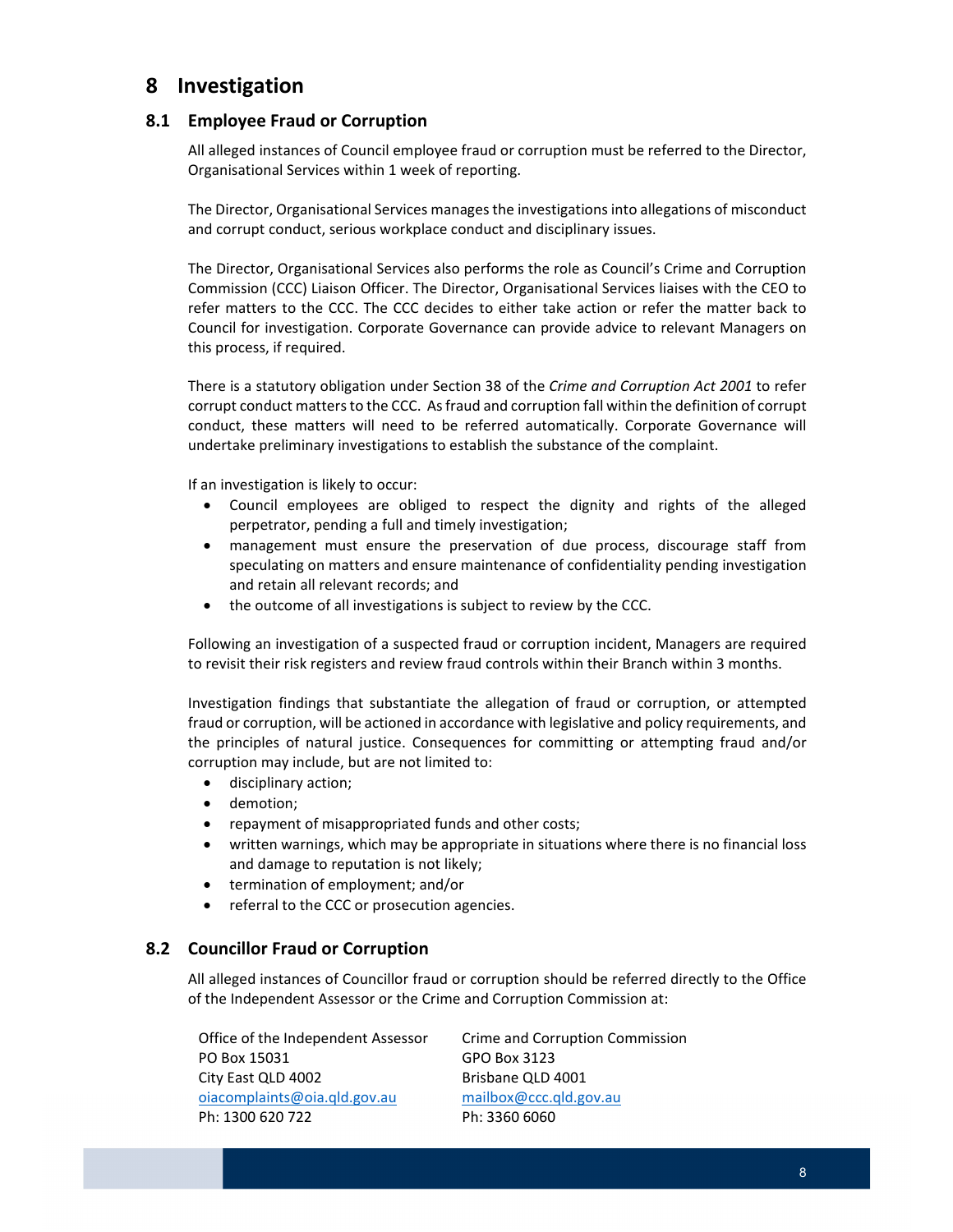### **8 Investigation**

#### **8.1 Employee Fraud or Corruption**

 All alleged instances of Council employee fraud or corruption must be referred to the Director, Organisational Services within 1 week of reporting.

 The Director, Organisational Services managesthe investigations into allegations of misconduct and corrupt conduct, serious workplace conduct and disciplinary issues.

 The Director, Organisational Services also performs the role as Council's Crime and Corruption Commission (CCC) Liaison Officer. The Director, Organisational Services liaises with the CEO to refer matters to the CCC. The CCC decides to either take action or refer the matter back to Council for investigation. Corporate Governance can provide advice to relevant Managers on this process, if required.

  There is a statutory obligation under Section 38 of the *Crime and Corruption Act 2001* to refer corrupt conduct matters to the CCC. As fraud and corruption fall within the definition of corrupt conduct, these matters will need to be referred automatically. Corporate Governance will undertake preliminary investigations to establish the substance of the complaint.

If an investigation is likely to occur:

- Council employees are obliged to respect the dignity and rights of the alleged perpetrator, pending a full and timely investigation;
- management must ensure the preservation of due process, discourage staff from speculating on matters and ensure maintenance of confidentiality pending investigation and retain all relevant records; and
- the outcome of all investigations is subject to review by the CCC.

 Following an investigation of a suspected fraud or corruption incident, Managers are required to revisit their risk registers and review fraud controls within their Branch within 3 months.

 Investigation findings that substantiate the allegation of fraud or corruption, or attempted fraud or corruption, will be actioned in accordance with legislative and policy requirements, and the principles of natural justice. Consequences for committing or attempting fraud and/or corruption may include, but are not limited to:

- disciplinary action;
- demotion;
- repayment of misappropriated funds and other costs;
- written warnings, which may be appropriate in situations where there is no financial loss and damage to reputation is not likely;
- termination of employment; and/or
- referral to the CCC or prosecution agencies.

#### **8.2 Councillor Fraud or Corruption**

 All alleged instances of Councillor fraud or corruption should be referred directly to the Office of the Independent Assessor or the Crime and Corruption Commission at:

PO Box 15031 GPO Box 3123 Ph: 1300 620 722 Ph: 3360 6060City East QLD 4002 oiacomplaints@oia.gld.gov.au

 Office of the Independent Assessor Crime and Corruption Commission Brisbane QLD 4001 mailbox@ccc.qld.gov.au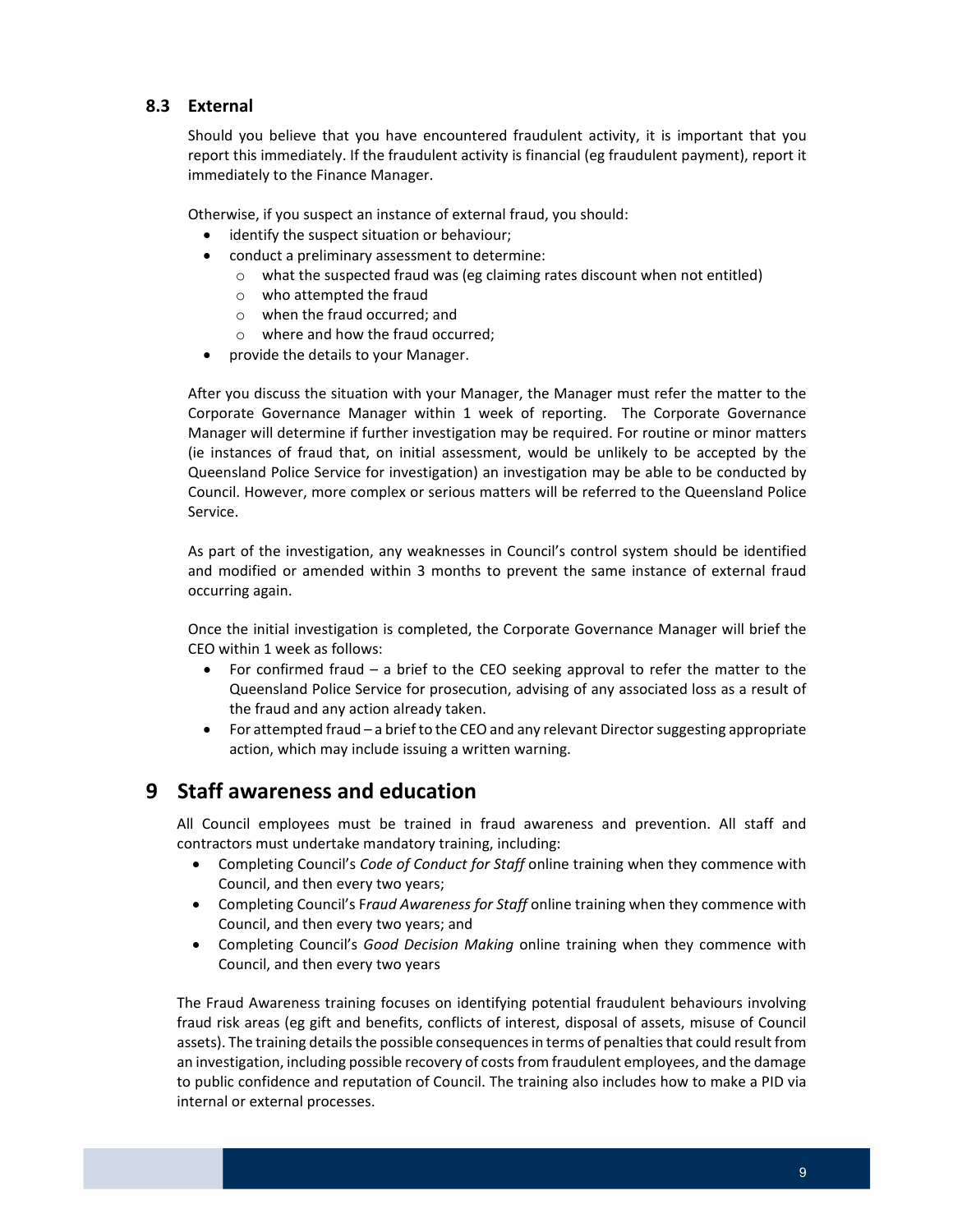#### **8.3 External**

 Should you believe that you have encountered fraudulent activity, it is important that you report this immediately. If the fraudulent activity is financial (eg fraudulent payment), report it immediately to the Finance Manager.

Otherwise, if you suspect an instance of external fraud, you should:

- identify the suspect situation or behaviour;
- conduct a preliminary assessment to determine:
	- o what the suspected fraud was (eg claiming rates discount when not entitled)
	- o who attempted the fraud
	- o when the fraud occurred; and
	- o where and how the fraud occurred;
- provide the details to your Manager.

 After you discuss the situation with your Manager, the Manager must refer the matter to the Corporate Governance Manager within 1 week of reporting. The Corporate Governance Manager will determine if further investigation may be required. For routine or minor matters (ie instances of fraud that, on initial assessment, would be unlikely to be accepted by the Queensland Police Service for investigation) an investigation may be able to be conducted by Council. However, more complex or serious matters will be referred to the Queensland Police Service.

 As part of the investigation, any weaknesses in Council's control system should be identified and modified or amended within 3 months to prevent the same instance of external fraud occurring again.

 Once the initial investigation is completed, the Corporate Governance Manager will brief the CEO within 1 week as follows:

- For confirmed fraud a brief to the CEO seeking approval to refer the matter to the Queensland Police Service for prosecution, advising of any associated loss as a result of the fraud and any action already taken.
- For attempted fraud a brief to the CEO and any relevant Director suggesting appropriate action, which may include issuing a written warning.

### **9 Staff awareness and education**

 All Council employees must be trained in fraud awareness and prevention. All staff and contractors must undertake mandatory training, including:

- Completing Council's *Code of Conduct for Staff* online training when they commence with Council, and then every two years;
- Completing Council's F*raud Awareness for Staff* online training when they commence with Council, and then every two years; and
- **•** Completing Council's Good Decision Making online training when they commence with Council, and then every two years

 The Fraud Awareness training focuses on identifying potential fraudulent behaviours involving fraud risk areas (eg gift and benefits, conflicts of interest, disposal of assets, misuse of Council assets). The training details the possible consequences in terms of penalties that could result from an investigation, including possible recovery of costsfrom fraudulent employees, and the damage to public confidence and reputation of Council. The training also includes how to make a PID via internal or external processes.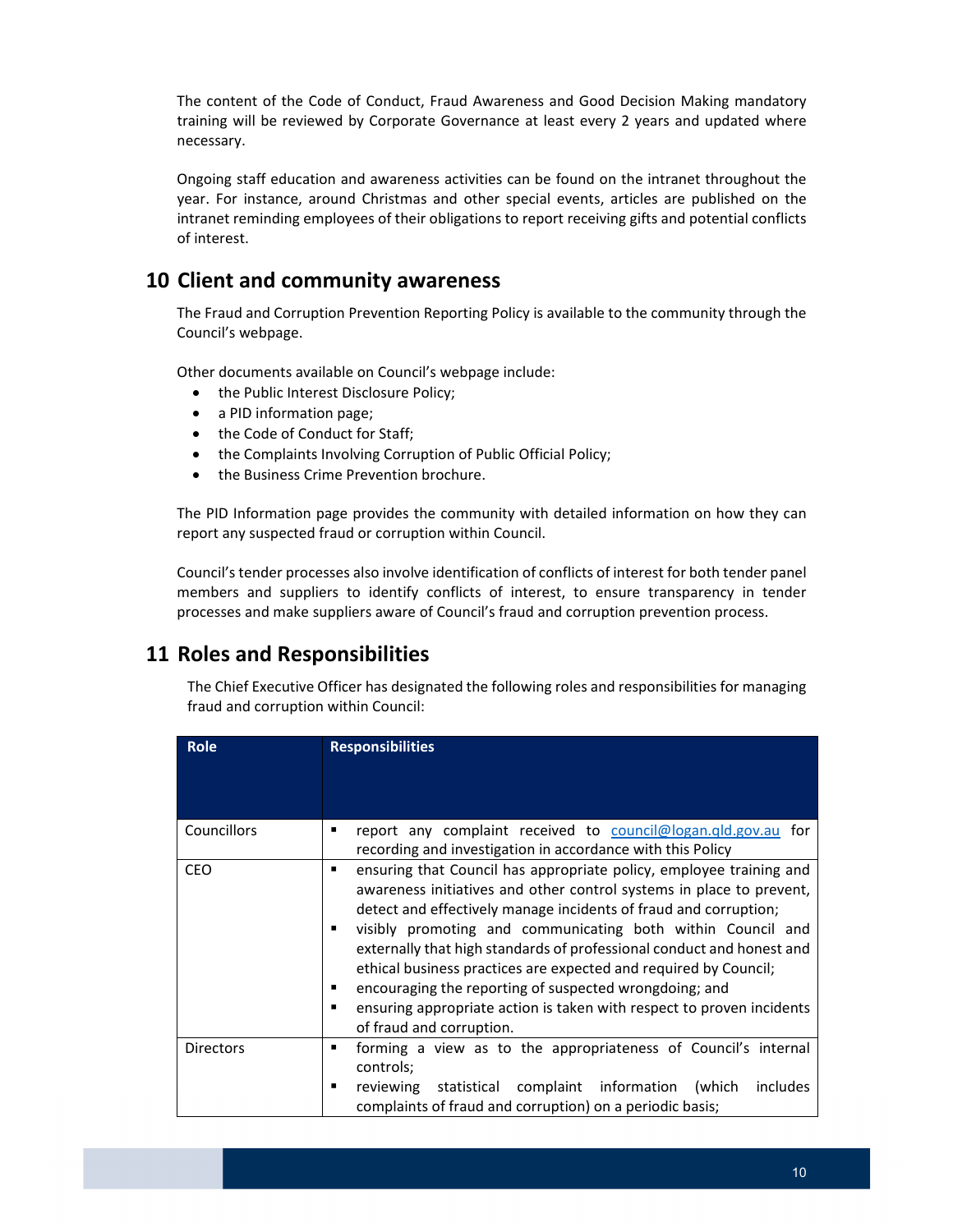The content of the Code of Conduct, Fraud Awareness and Good Decision Making mandatory training will be reviewed by Corporate Governance at least every 2 years and updated where necessary.

 Ongoing staff education and awareness activities can be found on the intranet throughout the year. For instance, around Christmas and other special events, articles are published on the intranet reminding employees of their obligations to report receiving gifts and potential conflicts of interest.

### **10 Client and community awareness**

 The Fraud and Corruption Prevention Reporting Policy is available to the community through the Council's webpage.

Other documents available on Council's webpage include:

- the Public Interest Disclosure Policy;
- a PID information page;
- the Code of Conduct for Staff;
- the Complaints Involving Corruption of Public Official Policy;
- the Business Crime Prevention brochure.

 The PID Information page provides the community with detailed information on how they can report any suspected fraud or corruption within Council.

 Council's tender processes also involve identification of conflicts of interest for both tender panel members and suppliers to identify conflicts of interest, to ensure transparency in tender processes and make suppliers aware of Council's fraud and corruption prevention process.

## **11 Roles and Responsibilities**

 The Chief Executive Officer has designated the following roles and responsibilities for managing fraud and corruption within Council:

| <b>Role</b>      | <b>Responsibilities</b>                                                                                                                                                                                                                                                                                                                                                                                                                                                                                                                                                                                        |
|------------------|----------------------------------------------------------------------------------------------------------------------------------------------------------------------------------------------------------------------------------------------------------------------------------------------------------------------------------------------------------------------------------------------------------------------------------------------------------------------------------------------------------------------------------------------------------------------------------------------------------------|
| Councillors      | report any complaint received to council@logan.qld.gov.au for<br>■<br>recording and investigation in accordance with this Policy                                                                                                                                                                                                                                                                                                                                                                                                                                                                               |
| CEO              | ensuring that Council has appropriate policy, employee training and<br>■<br>awareness initiatives and other control systems in place to prevent,<br>detect and effectively manage incidents of fraud and corruption;<br>visibly promoting and communicating both within Council and<br>п<br>externally that high standards of professional conduct and honest and<br>ethical business practices are expected and required by Council;<br>encouraging the reporting of suspected wrongdoing; and<br>п<br>ensuring appropriate action is taken with respect to proven incidents<br>п<br>of fraud and corruption. |
| <b>Directors</b> | forming a view as to the appropriateness of Council's internal<br>■<br>controls;                                                                                                                                                                                                                                                                                                                                                                                                                                                                                                                               |
|                  | reviewing statistical complaint information<br>includes<br>(which<br>■<br>complaints of fraud and corruption) on a periodic basis;                                                                                                                                                                                                                                                                                                                                                                                                                                                                             |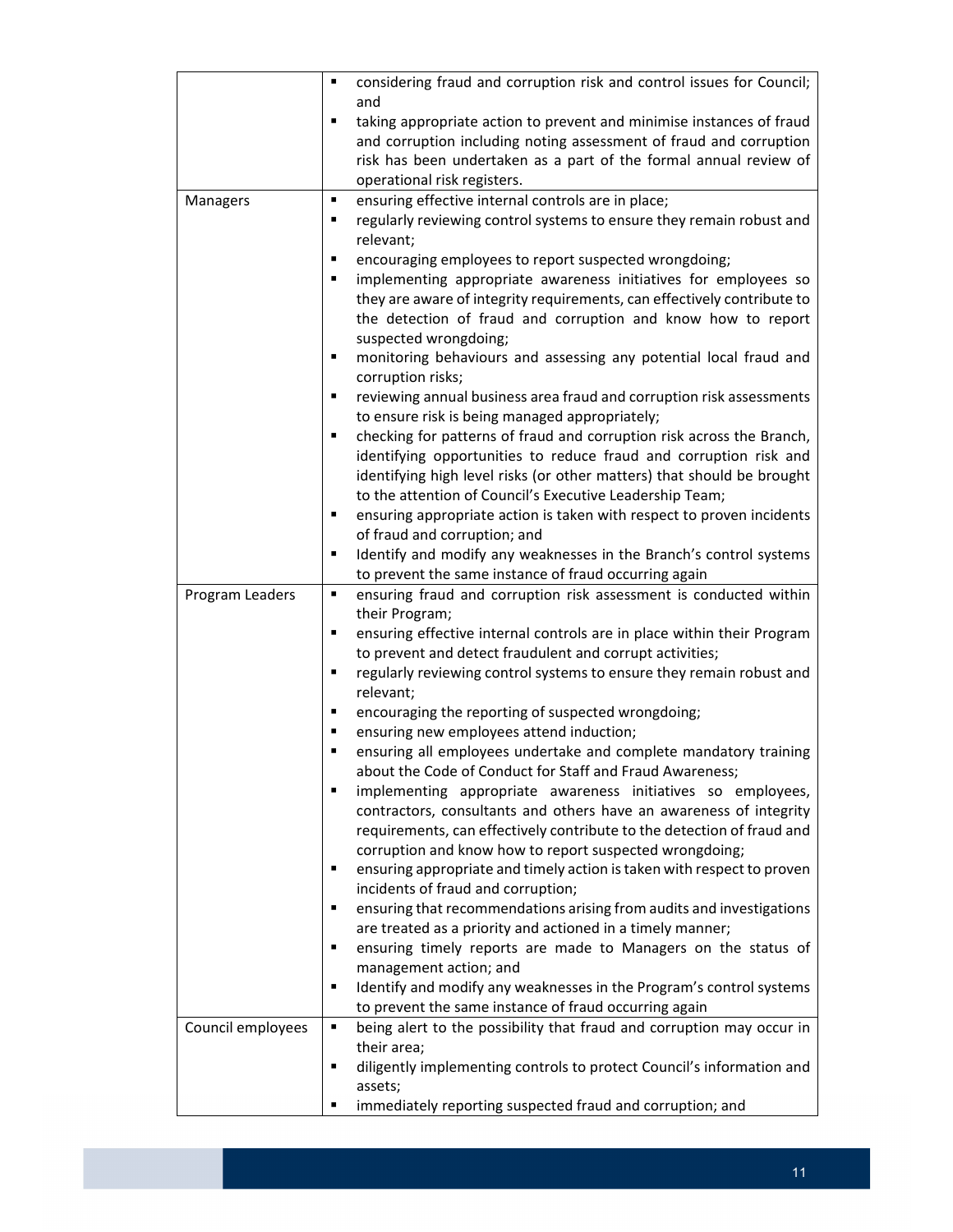|                   | considering fraud and corruption risk and control issues for Council;<br>$\blacksquare$                                                                                                                                           |
|-------------------|-----------------------------------------------------------------------------------------------------------------------------------------------------------------------------------------------------------------------------------|
|                   | and                                                                                                                                                                                                                               |
|                   | $\blacksquare$<br>taking appropriate action to prevent and minimise instances of fraud<br>and corruption including noting assessment of fraud and corruption<br>risk has been undertaken as a part of the formal annual review of |
|                   | operational risk registers.                                                                                                                                                                                                       |
| Managers          | ensuring effective internal controls are in place;<br>Е                                                                                                                                                                           |
|                   | regularly reviewing control systems to ensure they remain robust and<br>п<br>relevant;                                                                                                                                            |
|                   | encouraging employees to report suspected wrongdoing;<br>$\blacksquare$                                                                                                                                                           |
|                   | implementing appropriate awareness initiatives for employees so<br>$\blacksquare$                                                                                                                                                 |
|                   | they are aware of integrity requirements, can effectively contribute to                                                                                                                                                           |
|                   | the detection of fraud and corruption and know how to report<br>suspected wrongdoing;                                                                                                                                             |
|                   | monitoring behaviours and assessing any potential local fraud and<br>п                                                                                                                                                            |
|                   | corruption risks;                                                                                                                                                                                                                 |
|                   | reviewing annual business area fraud and corruption risk assessments<br>П                                                                                                                                                         |
|                   | to ensure risk is being managed appropriately;                                                                                                                                                                                    |
|                   | checking for patterns of fraud and corruption risk across the Branch,<br>$\blacksquare$                                                                                                                                           |
|                   | identifying opportunities to reduce fraud and corruption risk and                                                                                                                                                                 |
|                   | identifying high level risks (or other matters) that should be brought                                                                                                                                                            |
|                   | to the attention of Council's Executive Leadership Team;                                                                                                                                                                          |
|                   | ensuring appropriate action is taken with respect to proven incidents<br>$\blacksquare$                                                                                                                                           |
|                   | of fraud and corruption; and                                                                                                                                                                                                      |
|                   | Identify and modify any weaknesses in the Branch's control systems<br>П                                                                                                                                                           |
|                   | to prevent the same instance of fraud occurring again                                                                                                                                                                             |
| Program Leaders   | ensuring fraud and corruption risk assessment is conducted within<br>$\blacksquare$                                                                                                                                               |
|                   | their Program;                                                                                                                                                                                                                    |
|                   | ensuring effective internal controls are in place within their Program<br>$\blacksquare$                                                                                                                                          |
|                   | to prevent and detect fraudulent and corrupt activities;                                                                                                                                                                          |
|                   | regularly reviewing control systems to ensure they remain robust and<br>П<br>relevant;                                                                                                                                            |
|                   | encouraging the reporting of suspected wrongdoing;<br>п                                                                                                                                                                           |
|                   | ensuring new employees attend induction;<br>п                                                                                                                                                                                     |
|                   | ensuring all employees undertake and complete mandatory training<br>П<br>about the Code of Conduct for Staff and Fraud Awareness;                                                                                                 |
|                   | implementing appropriate awareness initiatives so employees,<br>$\blacksquare$                                                                                                                                                    |
|                   | contractors, consultants and others have an awareness of integrity                                                                                                                                                                |
|                   | requirements, can effectively contribute to the detection of fraud and                                                                                                                                                            |
|                   | corruption and know how to report suspected wrongdoing;                                                                                                                                                                           |
|                   | ensuring appropriate and timely action is taken with respect to proven<br>п<br>incidents of fraud and corruption;                                                                                                                 |
|                   | ensuring that recommendations arising from audits and investigations<br>п                                                                                                                                                         |
|                   | are treated as a priority and actioned in a timely manner;<br>ensuring timely reports are made to Managers on the status of<br>Е                                                                                                  |
|                   | management action; and                                                                                                                                                                                                            |
|                   | Identify and modify any weaknesses in the Program's control systems<br>$\blacksquare$                                                                                                                                             |
|                   | to prevent the same instance of fraud occurring again                                                                                                                                                                             |
| Council employees | being alert to the possibility that fraud and corruption may occur in<br>$\blacksquare$                                                                                                                                           |
|                   | their area;                                                                                                                                                                                                                       |
|                   | diligently implementing controls to protect Council's information and<br>$\blacksquare$                                                                                                                                           |
|                   | assets;                                                                                                                                                                                                                           |
|                   | immediately reporting suspected fraud and corruption; and<br>п                                                                                                                                                                    |